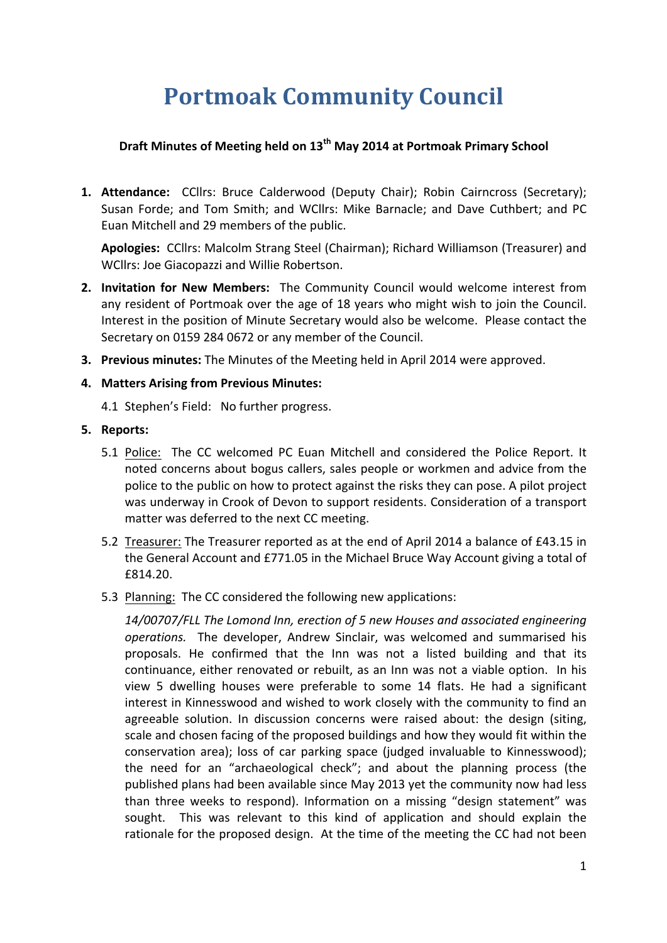# **Portmoak Community Council**

# **Draft Minutes of Meeting held on 13th May 2014 at Portmoak Primary School**

**1. Attendance:** CCllrs: Bruce Calderwood (Deputy Chair); Robin Cairncross (Secretary); Susan Forde; and Tom Smith; and WCllrs: Mike Barnacle; and Dave Cuthbert; and PC Euan Mitchell and 29 members of the public.

Apologies: CCllrs: Malcolm Strang Steel (Chairman); Richard Williamson (Treasurer) and WCllrs: Joe Giacopazzi and Willie Robertson.

- **2.** Invitation for New Members: The Community Council would welcome interest from any resident of Portmoak over the age of 18 years who might wish to join the Council. Interest in the position of Minute Secretary would also be welcome. Please contact the Secretary on 0159 284 0672 or any member of the Council.
- **3. Previous minutes:** The Minutes of the Meeting held in April 2014 were approved.

### **4. Matters Arising from Previous Minutes:**

4.1 Stephen's Field: No further progress.

### **5.** Reports:

- 5.1 Police: The CC welcomed PC Euan Mitchell and considered the Police Report. It noted concerns about bogus callers, sales people or workmen and advice from the police to the public on how to protect against the risks they can pose. A pilot project was underway in Crook of Devon to support residents. Consideration of a transport matter was deferred to the next CC meeting.
- 5.2 Treasurer: The Treasurer reported as at the end of April 2014 a balance of £43.15 in the General Account and £771.05 in the Michael Bruce Way Account giving a total of £814.20.
- 5.3 Planning: The CC considered the following new applications:

14/00707/FLL The Lomond Inn, erection of 5 new Houses and associated engineering *operations.* The developer, Andrew Sinclair, was welcomed and summarised his proposals. He confirmed that the Inn was not a listed building and that its continuance, either renovated or rebuilt, as an Inn was not a viable option. In his view 5 dwelling houses were preferable to some 14 flats. He had a significant interest in Kinnesswood and wished to work closely with the community to find an agreeable solution. In discussion concerns were raised about: the design (siting, scale and chosen facing of the proposed buildings and how they would fit within the conservation area); loss of car parking space (judged invaluable to Kinnesswood); the need for an "archaeological check"; and about the planning process (the published plans had been available since May 2013 yet the community now had less than three weeks to respond). Information on a missing "design statement" was sought. This was relevant to this kind of application and should explain the rationale for the proposed design. At the time of the meeting the CC had not been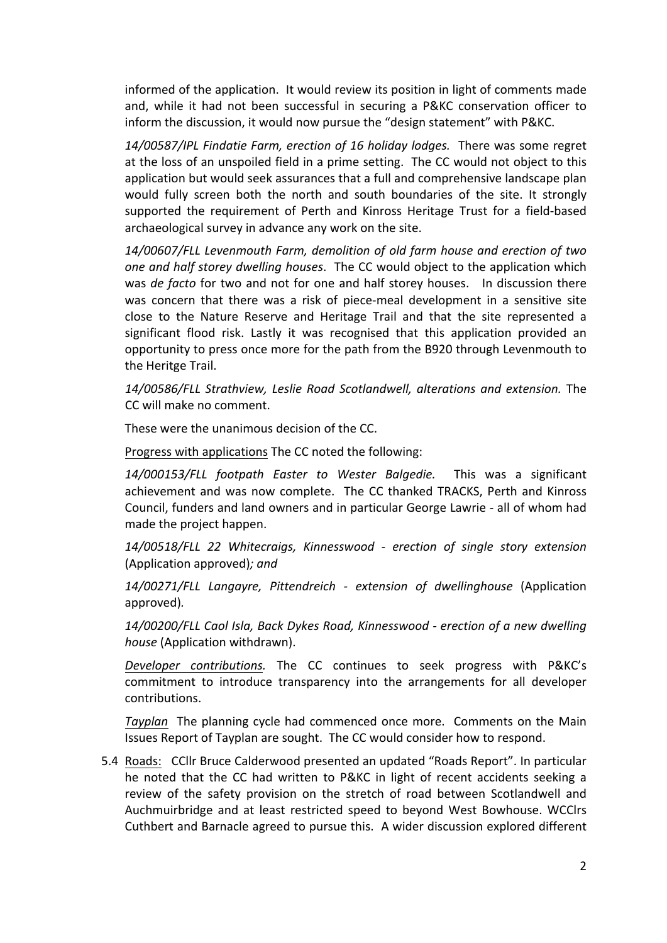informed of the application. It would review its position in light of comments made and, while it had not been successful in securing a P&KC conservation officer to inform the discussion, it would now pursue the "design statement" with P&KC.

14/00587/IPL Findatie Farm, erection of 16 holiday lodges. There was some regret at the loss of an unspoiled field in a prime setting. The CC would not object to this application but would seek assurances that a full and comprehensive landscape plan would fully screen both the north and south boundaries of the site. It strongly supported the requirement of Perth and Kinross Heritage Trust for a field-based archaeological survey in advance any work on the site.

*14/00607/FLL Levenmouth Farm, demolition of old farm house and erection of two one and half storey dwelling houses.* The CC would object to the application which was *de facto* for two and not for one and half storey houses. In discussion there was concern that there was a risk of piece-meal development in a sensitive site close to the Nature Reserve and Heritage Trail and that the site represented a significant flood risk. Lastly it was recognised that this application provided an opportunity to press once more for the path from the B920 through Levenmouth to the Heritge Trail.

*14/00586/FLL Strathview, Leslie Road Scotlandwell, alterations and extension.* The CC will make no comment.

These were the unanimous decision of the CC.

Progress with applications The CC noted the following:

*14/000153/FLL footpath Easter to Wester Balgedie.*  This was a significant achievement and was now complete. The CC thanked TRACKS, Perth and Kinross Council, funders and land owners and in particular George Lawrie - all of whom had made the project happen.

*14/00518/FLL 22 Whitecraigs, Kinnesswood - erection of single story extension* (Application approved); and

*14/00271/FLL Langayre, Pittendreich - extension of dwellinghouse* (Application approved)*.*

14/00200/FLL Caol Isla, Back Dykes Road, Kinnesswood - erection of a new dwelling *house* (Application withdrawn).

*Developer contributions.* The CC continues to seek progress with P&KC's commitment to introduce transparency into the arrangements for all developer contributions. 

*Tayplan* The planning cycle had commenced once more. Comments on the Main Issues Report of Tayplan are sought. The CC would consider how to respond.

5.4 Roads: CCllr Bruce Calderwood presented an updated "Roads Report". In particular he noted that the CC had written to P&KC in light of recent accidents seeking a review of the safety provision on the stretch of road between Scotlandwell and Auchmuirbridge and at least restricted speed to beyond West Bowhouse. WCClrs Cuthbert and Barnacle agreed to pursue this. A wider discussion explored different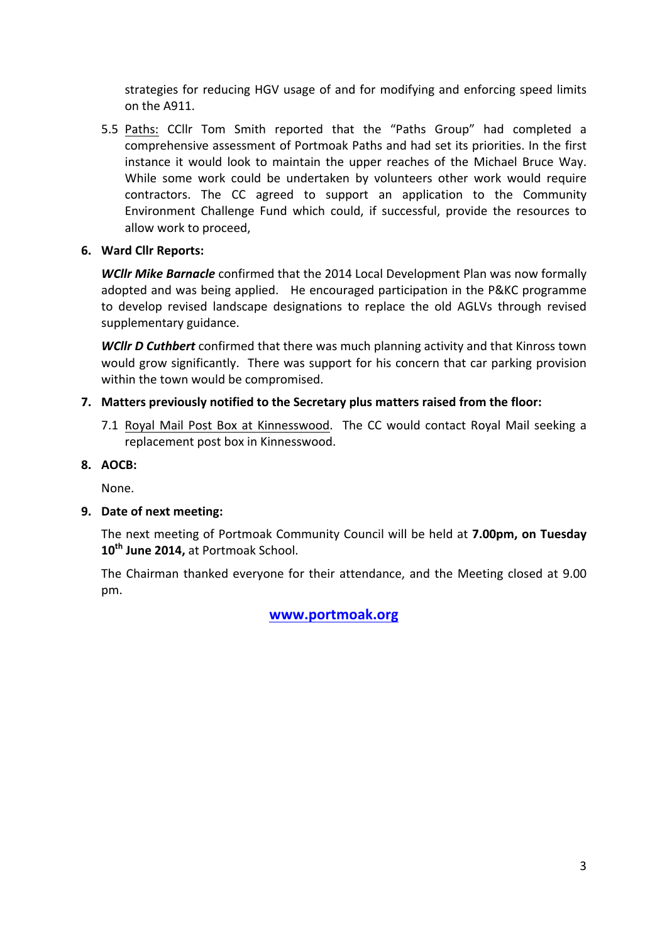strategies for reducing HGV usage of and for modifying and enforcing speed limits on the A911.

5.5 Paths: CCllr Tom Smith reported that the "Paths Group" had completed a comprehensive assessment of Portmoak Paths and had set its priorities. In the first instance it would look to maintain the upper reaches of the Michael Bruce Way. While some work could be undertaken by volunteers other work would require contractors. The CC agreed to support an application to the Community Environment Challenge Fund which could, if successful, provide the resources to allow work to proceed.

# **6. Ward Cllr Reports:**

**WCIIr Mike Barnacle** confirmed that the 2014 Local Development Plan was now formally adopted and was being applied. He encouraged participation in the P&KC programme to develop revised landscape designations to replace the old AGLVs through revised supplementary guidance.

**WCIIr D Cuthbert** confirmed that there was much planning activity and that Kinross town would grow significantly. There was support for his concern that car parking provision within the town would be compromised.

# **7.** Matters previously notified to the Secretary plus matters raised from the floor:

7.1 Royal Mail Post Box at Kinnesswood. The CC would contact Royal Mail seeking a replacement post box in Kinnesswood.

# **8. AOCB:**

None.

# **9.** Date of next meeting:

The next meeting of Portmoak Community Council will be held at **7.00pm, on Tuesday** 10<sup>th</sup> June 2014, at Portmoak School.

The Chairman thanked everyone for their attendance, and the Meeting closed at 9.00 pm.

# **www.portmoak.org**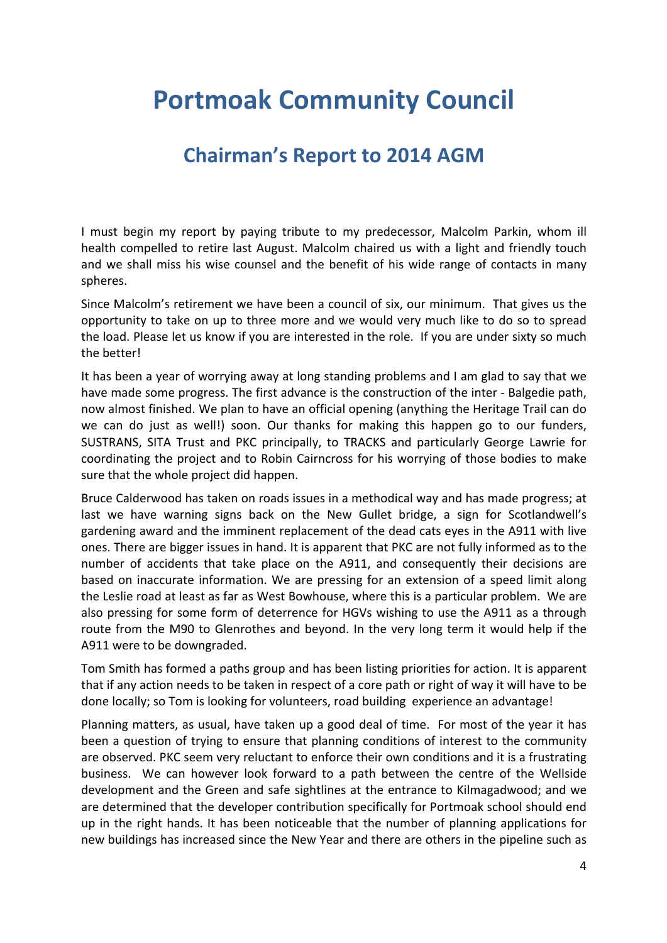# **Portmoak Community Council**

# **Chairman's Report to 2014 AGM**

I must begin my report by paying tribute to my predecessor, Malcolm Parkin, whom ill health compelled to retire last August. Malcolm chaired us with a light and friendly touch and we shall miss his wise counsel and the benefit of his wide range of contacts in many spheres.

Since Malcolm's retirement we have been a council of six, our minimum. That gives us the opportunity to take on up to three more and we would very much like to do so to spread the load. Please let us know if you are interested in the role. If you are under sixty so much the hetter!

It has been a year of worrying away at long standing problems and I am glad to say that we have made some progress. The first advance is the construction of the inter - Balgedie path, now almost finished. We plan to have an official opening (anything the Heritage Trail can do we can do just as well!) soon. Our thanks for making this happen go to our funders, SUSTRANS, SITA Trust and PKC principally, to TRACKS and particularly George Lawrie for coordinating the project and to Robin Cairncross for his worrying of those bodies to make sure that the whole project did happen.

Bruce Calderwood has taken on roads issues in a methodical way and has made progress; at last we have warning signs back on the New Gullet bridge, a sign for Scotlandwell's gardening award and the imminent replacement of the dead cats eyes in the A911 with live ones. There are bigger issues in hand. It is apparent that PKC are not fully informed as to the number of accidents that take place on the A911, and consequently their decisions are based on inaccurate information. We are pressing for an extension of a speed limit along the Leslie road at least as far as West Bowhouse, where this is a particular problem. We are also pressing for some form of deterrence for HGVs wishing to use the A911 as a through route from the M90 to Glenrothes and beyond. In the very long term it would help if the A911 were to be downgraded.

Tom Smith has formed a paths group and has been listing priorities for action. It is apparent that if any action needs to be taken in respect of a core path or right of way it will have to be done locally; so Tom is looking for volunteers, road building experience an advantage!

Planning matters, as usual, have taken up a good deal of time. For most of the year it has been a question of trying to ensure that planning conditions of interest to the community are observed. PKC seem very reluctant to enforce their own conditions and it is a frustrating business. We can however look forward to a path between the centre of the Wellside development and the Green and safe sightlines at the entrance to Kilmagadwood; and we are determined that the developer contribution specifically for Portmoak school should end up in the right hands. It has been noticeable that the number of planning applications for new buildings has increased since the New Year and there are others in the pipeline such as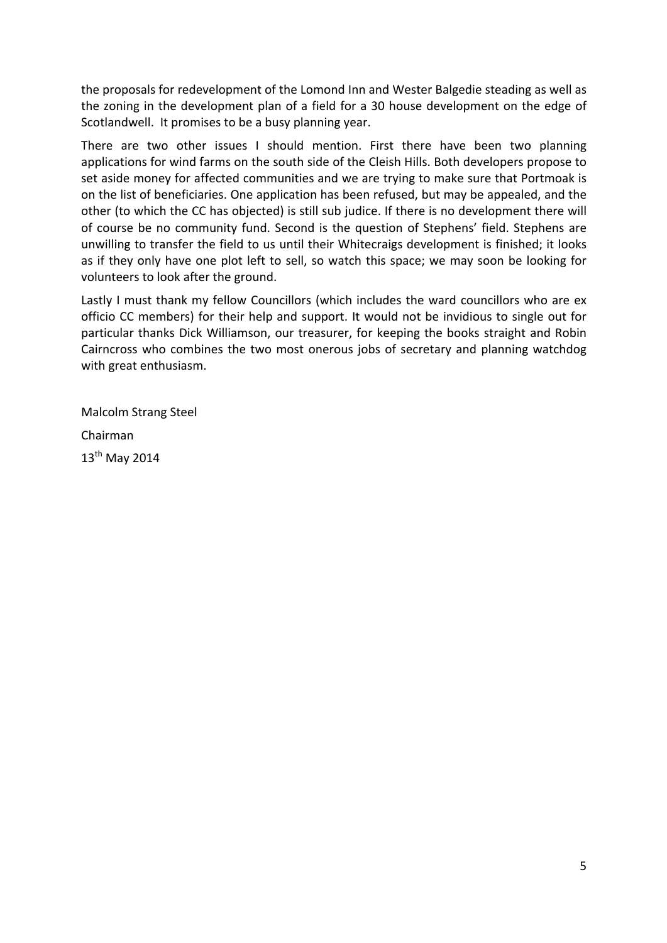the proposals for redevelopment of the Lomond Inn and Wester Balgedie steading as well as the zoning in the development plan of a field for a 30 house development on the edge of Scotlandwell. It promises to be a busy planning year.

There are two other issues I should mention. First there have been two planning applications for wind farms on the south side of the Cleish Hills. Both developers propose to set aside money for affected communities and we are trying to make sure that Portmoak is on the list of beneficiaries. One application has been refused, but may be appealed, and the other (to which the CC has objected) is still sub judice. If there is no development there will of course be no community fund. Second is the question of Stephens' field. Stephens are unwilling to transfer the field to us until their Whitecraigs development is finished; it looks as if they only have one plot left to sell, so watch this space; we may soon be looking for volunteers to look after the ground.

Lastly I must thank my fellow Councillors (which includes the ward councillors who are ex officio CC members) for their help and support. It would not be invidious to single out for particular thanks Dick Williamson, our treasurer, for keeping the books straight and Robin Cairncross who combines the two most onerous jobs of secretary and planning watchdog with great enthusiasm.

Malcolm Strang Steel Chairman  $13<sup>th</sup>$  May 2014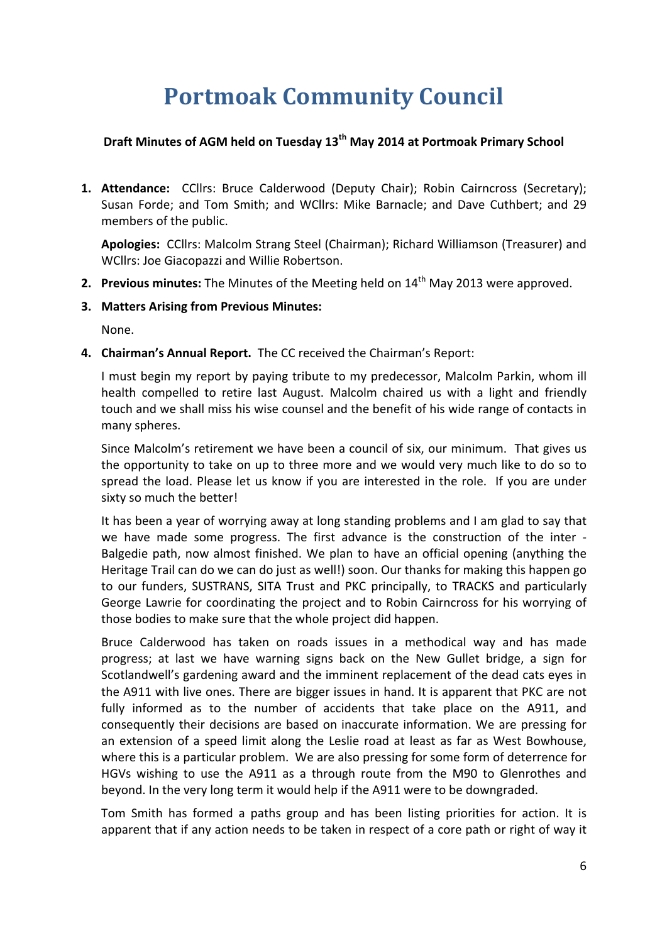# **Portmoak Community Council**

# **Draft Minutes of AGM held on Tuesday 13<sup>th</sup> May 2014 at Portmoak Primary School**

**1. Attendance:** CCllrs: Bruce Calderwood (Deputy Chair); Robin Cairncross (Secretary); Susan Forde; and Tom Smith; and WCllrs: Mike Barnacle; and Dave Cuthbert; and 29 members of the public.

Apologies: CCllrs: Malcolm Strang Steel (Chairman); Richard Williamson (Treasurer) and WCllrs: Joe Giacopazzi and Willie Robertson.

- **2. Previous minutes:** The Minutes of the Meeting held on 14<sup>th</sup> May 2013 were approved.
- **3. Matters Arising from Previous Minutes:**

None.

4. **Chairman's Annual Report.** The CC received the Chairman's Report:

I must begin my report by paying tribute to my predecessor, Malcolm Parkin, whom ill health compelled to retire last August. Malcolm chaired us with a light and friendly touch and we shall miss his wise counsel and the benefit of his wide range of contacts in many spheres.

Since Malcolm's retirement we have been a council of six, our minimum. That gives us the opportunity to take on up to three more and we would very much like to do so to spread the load. Please let us know if you are interested in the role. If you are under sixty so much the better!

It has been a year of worrying away at long standing problems and I am glad to say that we have made some progress. The first advance is the construction of the inter -Balgedie path, now almost finished. We plan to have an official opening (anything the Heritage Trail can do we can do just as well!) soon. Our thanks for making this happen go to our funders, SUSTRANS, SITA Trust and PKC principally, to TRACKS and particularly George Lawrie for coordinating the project and to Robin Cairncross for his worrying of those bodies to make sure that the whole project did happen.

Bruce Calderwood has taken on roads issues in a methodical way and has made progress; at last we have warning signs back on the New Gullet bridge, a sign for Scotlandwell's gardening award and the imminent replacement of the dead cats eyes in the A911 with live ones. There are bigger issues in hand. It is apparent that PKC are not fully informed as to the number of accidents that take place on the A911, and consequently their decisions are based on inaccurate information. We are pressing for an extension of a speed limit along the Leslie road at least as far as West Bowhouse, where this is a particular problem. We are also pressing for some form of deterrence for HGVs wishing to use the A911 as a through route from the M90 to Glenrothes and beyond. In the very long term it would help if the A911 were to be downgraded.

Tom Smith has formed a paths group and has been listing priorities for action. It is apparent that if any action needs to be taken in respect of a core path or right of way it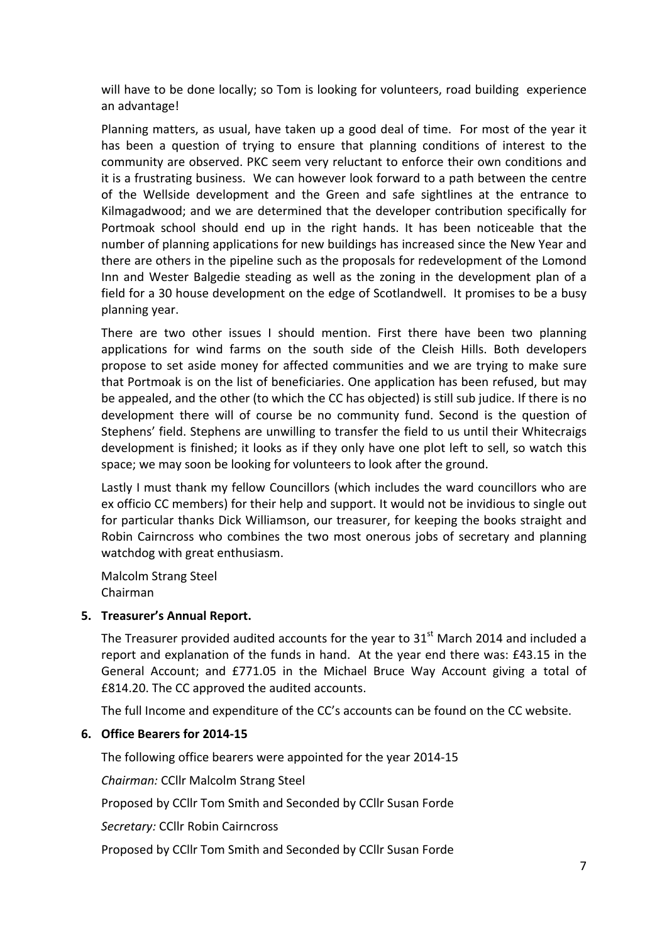will have to be done locally; so Tom is looking for volunteers, road building experience an advantage!

Planning matters, as usual, have taken up a good deal of time. For most of the year it has been a question of trying to ensure that planning conditions of interest to the community are observed. PKC seem very reluctant to enforce their own conditions and it is a frustrating business. We can however look forward to a path between the centre of the Wellside development and the Green and safe sightlines at the entrance to Kilmagadwood; and we are determined that the developer contribution specifically for Portmoak school should end up in the right hands. It has been noticeable that the number of planning applications for new buildings has increased since the New Year and there are others in the pipeline such as the proposals for redevelopment of the Lomond Inn and Wester Balgedie steading as well as the zoning in the development plan of a field for a 30 house development on the edge of Scotlandwell. It promises to be a busy planning year.

There are two other issues I should mention. First there have been two planning applications for wind farms on the south side of the Cleish Hills. Both developers propose to set aside money for affected communities and we are trying to make sure that Portmoak is on the list of beneficiaries. One application has been refused, but may be appealed, and the other (to which the CC has objected) is still sub judice. If there is no development there will of course be no community fund. Second is the question of Stephens' field. Stephens are unwilling to transfer the field to us until their Whitecraigs development is finished; it looks as if they only have one plot left to sell, so watch this space; we may soon be looking for volunteers to look after the ground.

Lastly I must thank my fellow Councillors (which includes the ward councillors who are ex officio CC members) for their help and support. It would not be invidious to single out for particular thanks Dick Williamson, our treasurer, for keeping the books straight and Robin Cairncross who combines the two most onerous jobs of secretary and planning watchdog with great enthusiasm.

Malcolm Strang Steel Chairman

#### **5. Treasurer's Annual Report.**

The Treasurer provided audited accounts for the year to  $31<sup>st</sup>$  March 2014 and included a report and explanation of the funds in hand. At the year end there was: £43.15 in the General Account; and £771.05 in the Michael Bruce Way Account giving a total of £814.20. The CC approved the audited accounts.

The full Income and expenditure of the CC's accounts can be found on the CC website.

#### **6. Office Bearers for 2014-15**

The following office bearers were appointed for the year 2014-15

*Chairman: CCllr Malcolm Strang Steel* 

Proposed by CCllr Tom Smith and Seconded by CCllr Susan Forde

**Secretary: CCllr Robin Cairncross** 

Proposed by CCIIr Tom Smith and Seconded by CCIIr Susan Forde